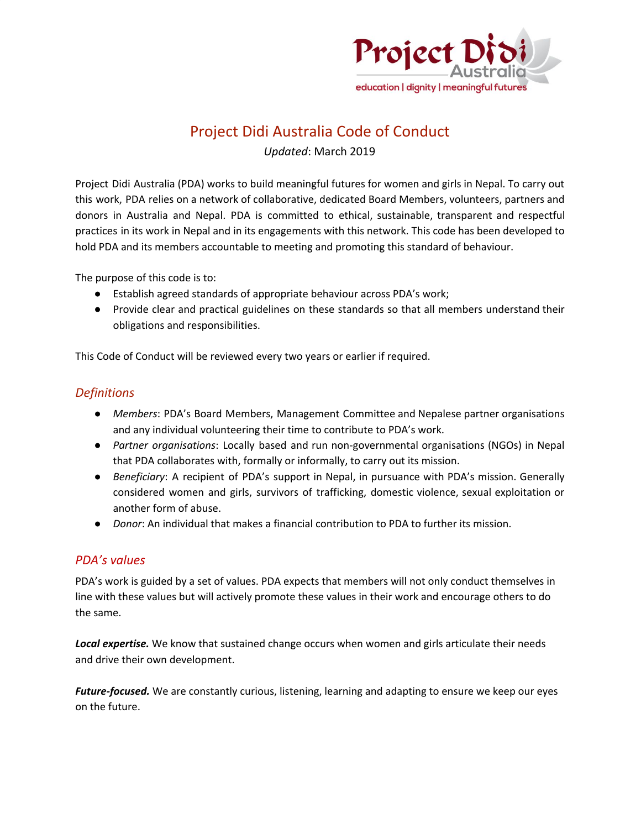

# Project Didi Australia Code of Conduct

*Updated*: March 2019

Project Didi Australia (PDA) works to build meaningful futures for women and girls in Nepal. To carry out this work, PDA relies on a network of collaborative, dedicated Board Members, volunteers, partners and donors in Australia and Nepal. PDA is committed to ethical, sustainable, transparent and respectful practices in its work in Nepal and in its engagements with this network. This code has been developed to hold PDA and its members accountable to meeting and promoting this standard of behaviour.

The purpose of this code is to:

- Establish agreed standards of appropriate behaviour across PDA's work;
- Provide clear and practical guidelines on these standards so that all members understand their obligations and responsibilities.

This Code of Conduct will be reviewed every two years or earlier if required.

#### *Definitions*

- *Members*: PDA's Board Members, Management Committee and Nepalese partner organisations and any individual volunteering their time to contribute to PDA's work.
- *Partner organisations*: Locally based and run non-governmental organisations (NGOs) in Nepal that PDA collaborates with, formally or informally, to carry out its mission.
- *Beneficiary*: A recipient of PDA's support in Nepal, in pursuance with PDA's mission. Generally considered women and girls, survivors of trafficking, domestic violence, sexual exploitation or another form of abuse.
- *Donor*: An individual that makes a financial contribution to PDA to further its mission.

#### *PDA's values*

PDA's work is guided by a set of values. PDA expects that members will not only conduct themselves in line with these values but will actively promote these values in their work and encourage others to do the same.

*Local expertise.* We know that sustained change occurs when women and girls articulate their needs and drive their own development.

*Future-focused.* We are constantly curious, listening, learning and adapting to ensure we keep our eyes on the future.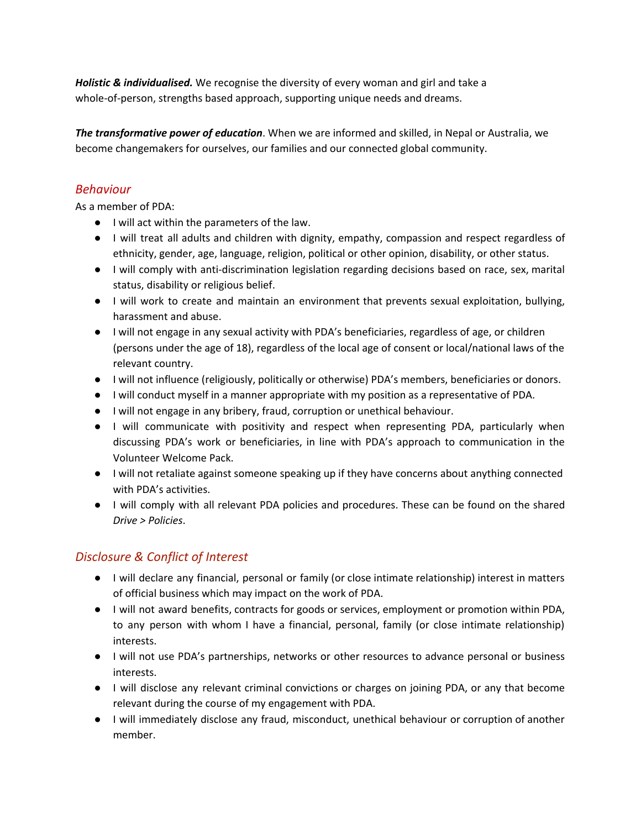*Holistic & individualised.* We recognise the diversity of every woman and girl and take a whole-of-person, strengths based approach, supporting unique needs and dreams.

*The transformative power of education*. When we are informed and skilled, in Nepal or Australia, we become changemakers for ourselves, our families and our connected global community.

## *Behaviour*

As a member of PDA:

- I will act within the parameters of the law.
- I will treat all adults and children with dignity, empathy, compassion and respect regardless of ethnicity, gender, age, language, religion, political or other opinion, disability, or other status.
- I will comply with anti-discrimination legislation regarding decisions based on race, sex, marital status, disability or religious belief.
- I will work to create and maintain an environment that prevents sexual exploitation, bullying, harassment and abuse.
- I will not engage in any sexual activity with PDA's beneficiaries, regardless of age, or children (persons under the age of 18), regardless of the local age of consent or local/national laws of the relevant country.
- I will not influence (religiously, politically or otherwise) PDA's members, beneficiaries or donors.
- I will conduct myself in a manner appropriate with my position as a representative of PDA.
- I will not engage in any bribery, fraud, corruption or unethical behaviour.
- I will communicate with positivity and respect when representing PDA, particularly when discussing PDA's work or beneficiaries, in line with PDA's approach to communication in the Volunteer Welcome Pack.
- I will not retaliate against someone speaking up if they have concerns about anything connected with PDA's activities.
- I will comply with all relevant PDA policies and procedures. These can be found on the shared *Drive > Policies*.

## *Disclosure & Conflict of Interest*

- I will declare any financial, personal or family (or close intimate relationship) interest in matters of official business which may impact on the work of PDA.
- I will not award benefits, contracts for goods or services, employment or promotion within PDA, to any person with whom I have a financial, personal, family (or close intimate relationship) interests.
- I will not use PDA's partnerships, networks or other resources to advance personal or business interests.
- I will disclose any relevant criminal convictions or charges on joining PDA, or any that become relevant during the course of my engagement with PDA.
- I will immediately disclose any fraud, misconduct, unethical behaviour or corruption of another member.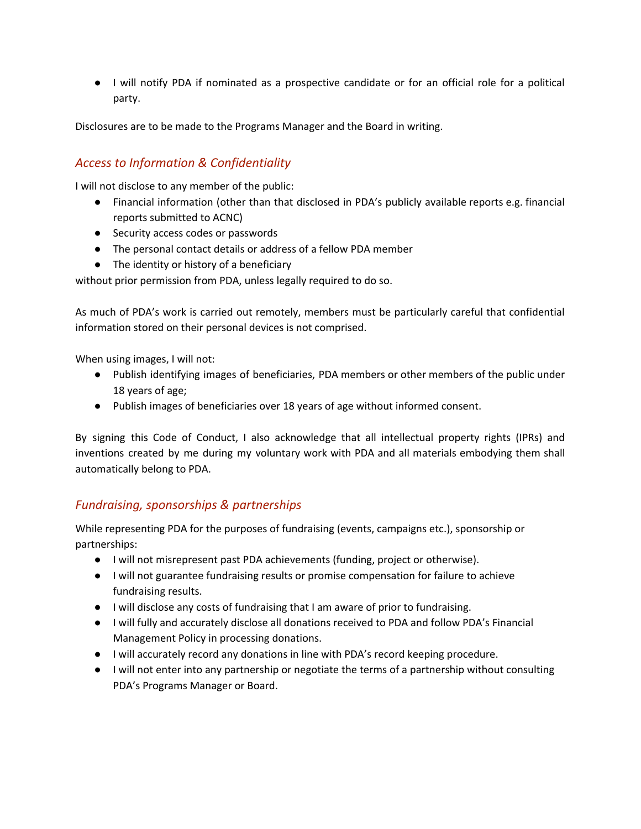● I will notify PDA if nominated as a prospective candidate or for an official role for a political party.

Disclosures are to be made to the Programs Manager and the Board in writing.

#### *Access to Information & Confidentiality*

I will not disclose to any member of the public:

- Financial information (other than that disclosed in PDA's publicly available reports e.g. financial reports submitted to ACNC)
- Security access codes or passwords
- The personal contact details or address of a fellow PDA member
- The identity or history of a beneficiary

without prior permission from PDA, unless legally required to do so.

As much of PDA's work is carried out remotely, members must be particularly careful that confidential information stored on their personal devices is not comprised.

When using images, I will not:

- Publish identifying images of beneficiaries, PDA members or other members of the public under 18 years of age;
- Publish images of beneficiaries over 18 years of age without informed consent.

By signing this Code of Conduct, I also acknowledge that all intellectual property rights (IPRs) and inventions created by me during my voluntary work with PDA and all materials embodying them shall automatically belong to PDA.

#### *Fundraising, sponsorships & partnerships*

While representing PDA for the purposes of fundraising (events, campaigns etc.), sponsorship or partnerships:

- I will not misrepresent past PDA achievements (funding, project or otherwise).
- I will not guarantee fundraising results or promise compensation for failure to achieve fundraising results.
- I will disclose any costs of fundraising that I am aware of prior to fundraising.
- I will fully and accurately disclose all donations received to PDA and follow PDA's Financial Management Policy in processing donations.
- I will accurately record any donations in line with PDA's record keeping procedure.
- I will not enter into any partnership or negotiate the terms of a partnership without consulting PDA's Programs Manager or Board.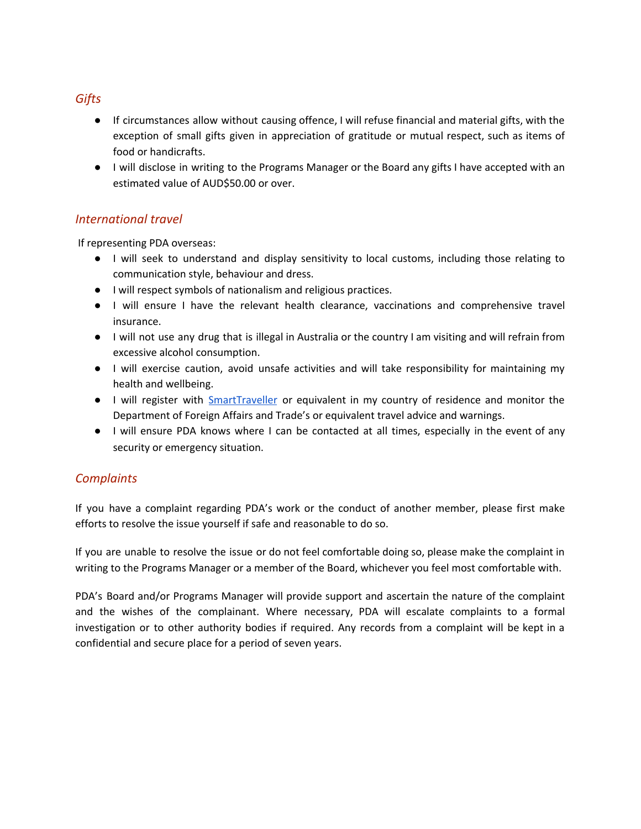#### *Gifts*

- If circumstances allow without causing offence, I will refuse financial and material gifts, with the exception of small gifts given in appreciation of gratitude or mutual respect, such as items of food or handicrafts.
- I will disclose in writing to the Programs Manager or the Board any gifts I have accepted with an estimated value of AUD\$50.00 or over.

#### *International travel*

If representing PDA overseas:

- I will seek to understand and display sensitivity to local customs, including those relating to communication style, behaviour and dress.
- I will respect symbols of nationalism and religious practices.
- I will ensure I have the relevant health clearance, vaccinations and comprehensive travel insurance.
- I will not use any drug that is illegal in Australia or the country I am visiting and will refrain from excessive alcohol consumption.
- I will exercise caution, avoid unsafe activities and will take responsibility for maintaining my health and wellbeing.
- I will register with [SmartTraveller](https://smartraveller.gov.au/help/me/overseas/register-travel/Pages/register.aspx) or equivalent in my country of residence and monitor the Department of Foreign Affairs and Trade's or equivalent travel advice and warnings.
- I will ensure PDA knows where I can be contacted at all times, especially in the event of any security or emergency situation.

### *Complaints*

If you have a complaint regarding PDA's work or the conduct of another member, please first make efforts to resolve the issue yourself if safe and reasonable to do so.

If you are unable to resolve the issue or do not feel comfortable doing so, please make the complaint in writing to the Programs Manager or a member of the Board, whichever you feel most comfortable with.

PDA's Board and/or Programs Manager will provide support and ascertain the nature of the complaint and the wishes of the complainant. Where necessary, PDA will escalate complaints to a formal investigation or to other authority bodies if required. Any records from a complaint will be kept in a confidential and secure place for a period of seven years.